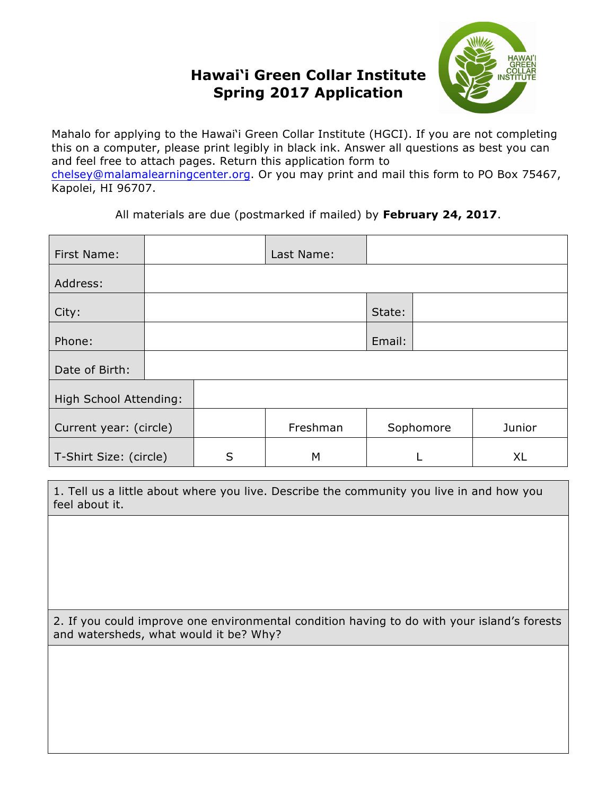## **Hawai'i Green Collar Institute Spring 2017 Application**



Mahalo for applying to the Hawai'i Green Collar Institute (HGCI). If you are not completing this on a computer, please print legibly in black ink. Answer all questions as best you can and feel free to attach pages. Return this application form to chelsey@malamalearningcenter.org. Or you may print and mail this form to PO Box 75467, Kapolei, HI 96707.

All materials are due (postmarked if mailed) by **February 24, 2017**.

| First Name:            |  |   | Last Name: |           |           |
|------------------------|--|---|------------|-----------|-----------|
| Address:               |  |   |            |           |           |
| City:                  |  |   |            | State:    |           |
| Phone:                 |  |   |            | Email:    |           |
| Date of Birth:         |  |   |            |           |           |
| High School Attending: |  |   |            |           |           |
| Current year: (circle) |  |   | Freshman   | Sophomore | Junior    |
| T-Shirt Size: (circle) |  | S | M          |           | <b>XL</b> |

1. Tell us a little about where you live. Describe the community you live in and how you feel about it.

2. If you could improve one environmental condition having to do with your island's forests and watersheds, what would it be? Why?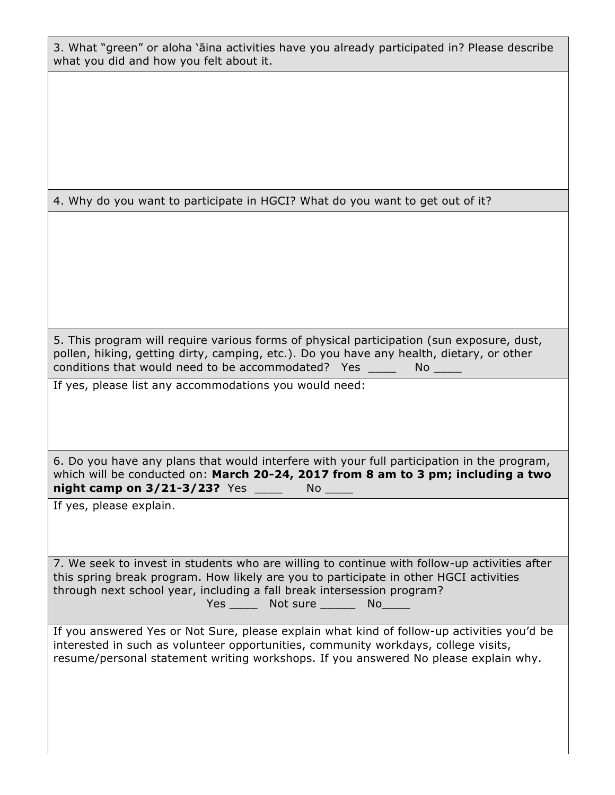3. What "green" or aloha 'āina activities have you already participated in? Please describe what you did and how you felt about it.

4. Why do you want to participate in HGCI? What do you want to get out of it?

5. This program will require various forms of physical participation (sun exposure, dust, pollen, hiking, getting dirty, camping, etc.). Do you have any health, dietary, or other conditions that would need to be accommodated? Yes \_\_\_\_ No \_\_\_\_

If yes, please list any accommodations you would need:

6. Do you have any plans that would interfere with your full participation in the program, which will be conducted on: **March 20-24, 2017 from 8 am to 3 pm; including a two night camp on 3/21-3/23?** Yes \_\_\_\_ No \_\_\_\_

If yes, please explain.

7. We seek to invest in students who are willing to continue with follow-up activities after this spring break program. How likely are you to participate in other HGCI activities through next school year, including a fall break intersession program? Yes Not sure No No No No

If you answered Yes or Not Sure, please explain what kind of follow-up activities you'd be interested in such as volunteer opportunities, community workdays, college visits, resume/personal statement writing workshops. If you answered No please explain why.